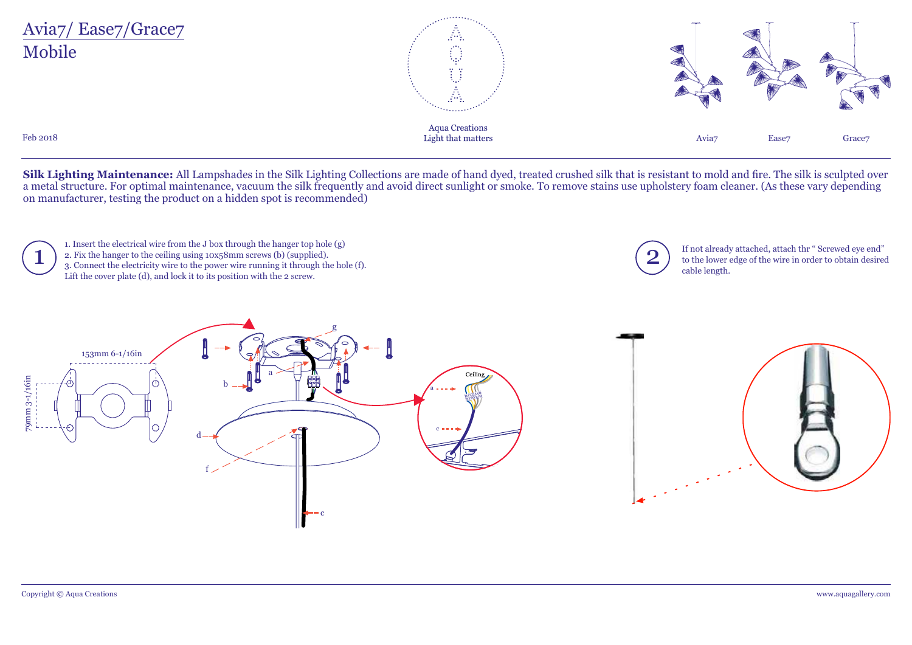

**Silk Lighting Maintenance:** All Lampshades in the Silk Lighting Collections are made of hand dyed, treated crushed silk that is resistant to mold and fire. The silk is sculpted over a metal structure. For optimal maintenance, vacuum the silk frequently and avoid direct sunlight or smoke. To remove stains use upholstery foam cleaner. (As these vary depending on manufacturer, testing the product on a hidden spot is recommended)

1. Insert the electrical wire from the J box through the hanger top hole (g) 2. Fix the hanger to the ceiling using 10x58mm screws (b) (supplied).  $\sum_{3. \text{ Connect the electricity wire to the power wire running it through the hole (f).}$ <br>
1. If not already attached, attach thr " Screwed eye end"<br>
3. Connect the electricity wire to the power wire running it through the hole (f). Lift the cover plate (d), and lock it to its position with the 2 screw.



to the lower edge of the wire in order to obtain desired cable length.

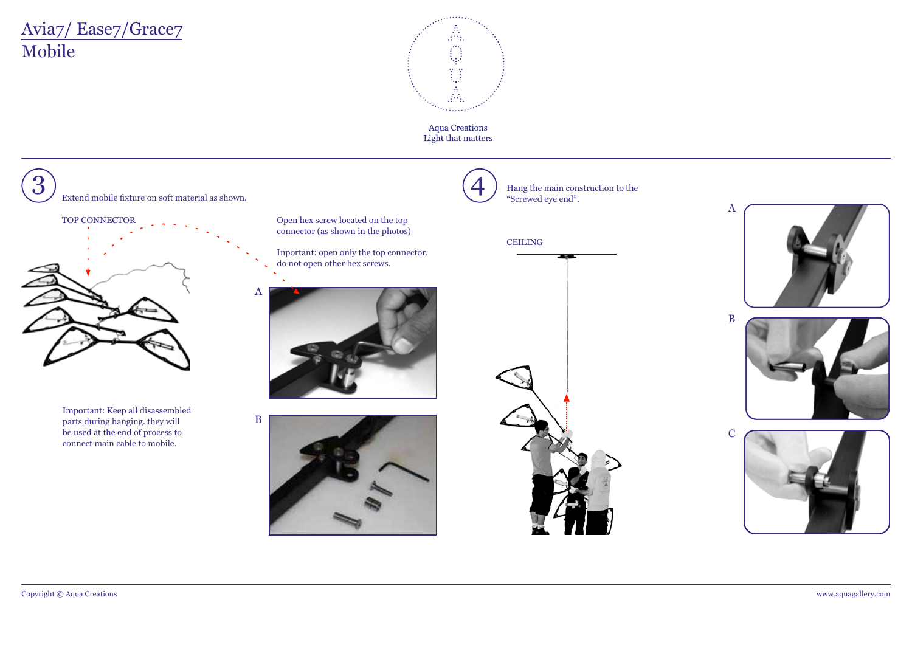# Mobile Avia7/ Ease7/Grace7



**Aqua Creations** Light that matters

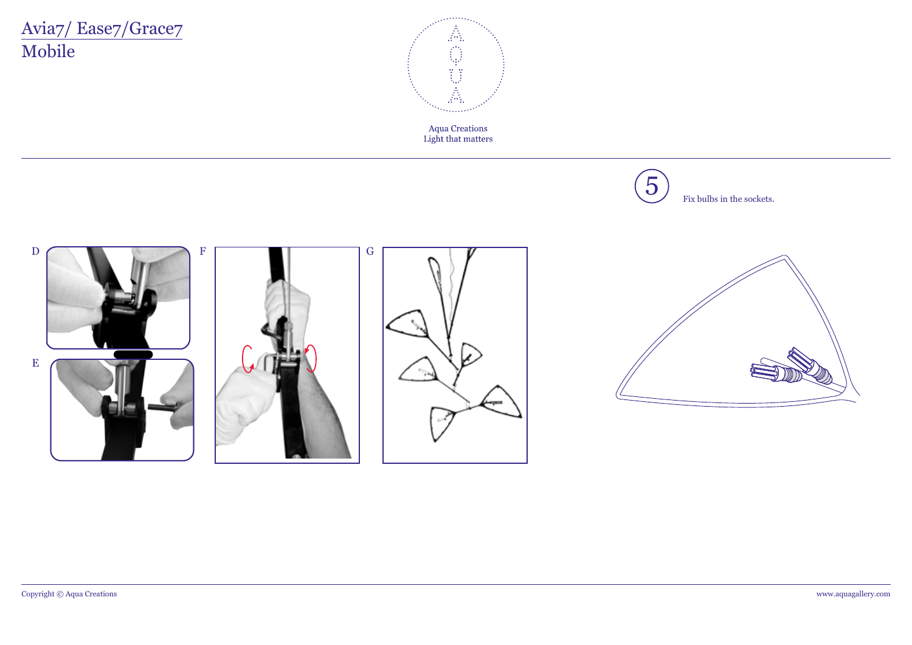# Avia7/Ease7/Grace7 Mobile



Aqua Creations<br>Light that matters



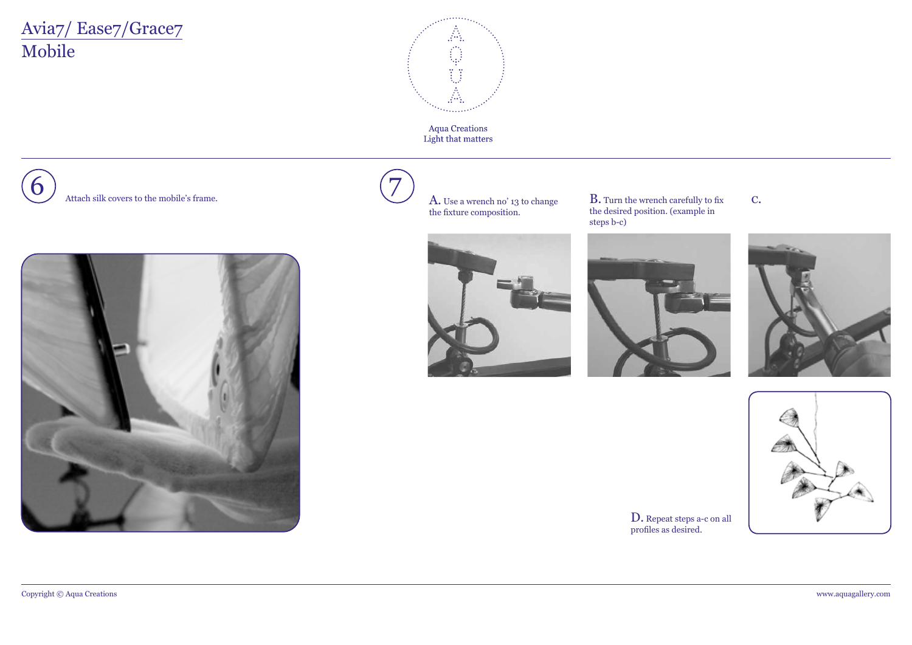# Mobile Avia7/ Ease7/Grace7



Aqua Creations<br>Light that matters







 $\overline{Z}$   $\overline{A}$ . Use a wrench no' 13 to change the fixture composition.



B. Turn the wrench carefully to fix the desired position. (example in steps b-c)





c.



D. Repeat steps a-c on all profiles as desired.